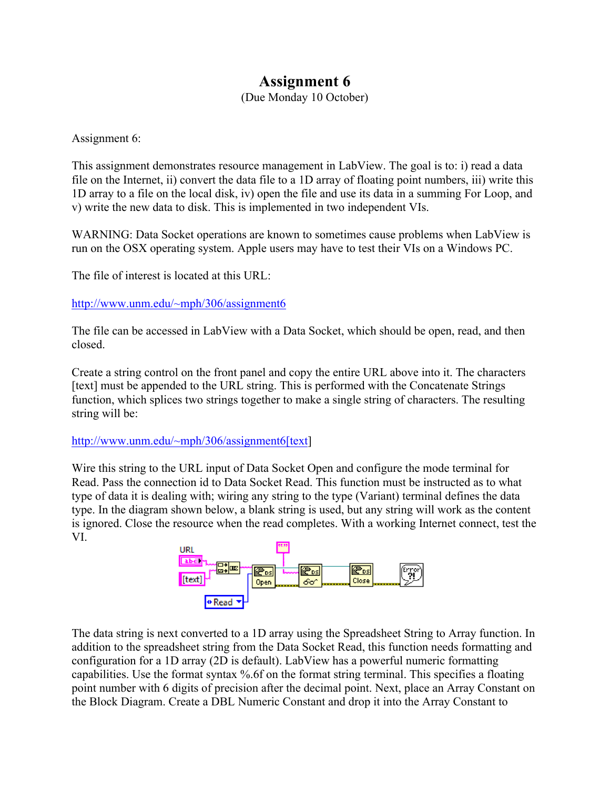## **Assignment 6**

(Due Monday 10 October)

Assignment 6:

This assignment demonstrates resource management in LabView. The goal is to: i) read a data file on the Internet, ii) convert the data file to a 1D array of floating point numbers, iii) write this 1D array to a file on the local disk, iv) open the file and use its data in a summing For Loop, and v) write the new data to disk. This is implemented in two independent VIs.

WARNING: Data Socket operations are known to sometimes cause problems when LabView is run on the OSX operating system. Apple users may have to test their VIs on a Windows PC.

The file of interest is located at this URL:

http://www.unm.edu/~mph/306/assignment6

The file can be accessed in LabView with a Data Socket, which should be open, read, and then closed.

Create a string control on the front panel and copy the entire URL above into it. The characters [text] must be appended to the URL string. This is performed with the Concatenate Strings function, which splices two strings together to make a single string of characters. The resulting string will be:

## http://www.unm.edu/~mph/306/assignment6[text]

Wire this string to the URL input of Data Socket Open and configure the mode terminal for Read. Pass the connection id to Data Socket Read. This function must be instructed as to what type of data it is dealing with; wiring any string to the type (Variant) terminal defines the data type. In the diagram shown below, a blank string is used, but any string will work as the content is ignored. Close the resource when the read completes. With a working Internet connect, test the VI.



The data string is next converted to a 1D array using the Spreadsheet String to Array function. In addition to the spreadsheet string from the Data Socket Read, this function needs formatting and configuration for a 1D array (2D is default). LabView has a powerful numeric formatting capabilities. Use the format syntax %.6f on the format string terminal. This specifies a floating point number with 6 digits of precision after the decimal point. Next, place an Array Constant on the Block Diagram. Create a DBL Numeric Constant and drop it into the Array Constant to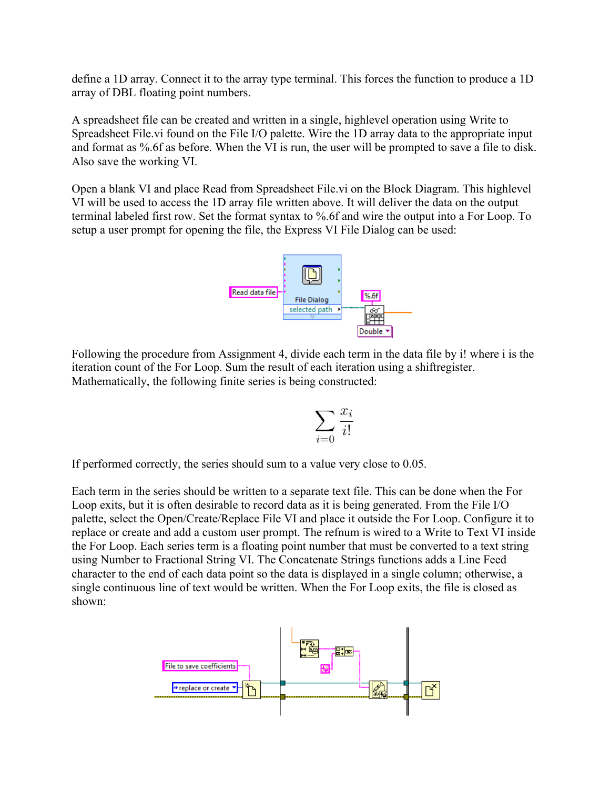define a 1D array. Connect it to the array type terminal. This forces the function to produce a 1D array of DBL floating point numbers.

A spreadsheet file can be created and written in a single, highlevel operation using Write to Spreadsheet File.vi found on the File I/O palette. Wire the 1D array data to the appropriate input and format as %.6f as before. When the VI is run, the user will be prompted to save a file to disk. Also save the working VI.

Open a blank VI and place Read from Spreadsheet File.vi on the Block Diagram. This highlevel VI will be used to access the 1D array file written above. It will deliver the data on the output terminal labeled first row. Set the format syntax to %.6f and wire the output into a For Loop. To setup a user prompt for opening the file, the Express VI File Dialog can be used:



Following the procedure from Assignment 4, divide each term in the data file by i! where i is the iteration count of the For Loop. Sum the result of each iteration using a shiftregister. Mathematically, the following finite series is being constructed:

$$
\sum_{i=0} \frac{x_i}{i!}
$$

If performed correctly, the series should sum to a value very close to 0.05.

Each term in the series should be written to a separate text file. This can be done when the For Loop exits, but it is often desirable to record data as it is being generated. From the File I/O palette, select the Open/Create/Replace File VI and place it outside the For Loop. Configure it to replace or create and add a custom user prompt. The refnum is wired to a Write to Text VI inside the For Loop. Each series term is a floating point number that must be converted to a text string using Number to Fractional String VI. The Concatenate Strings functions adds a Line Feed character to the end of each data point so the data is displayed in a single column; otherwise, a single continuous line of text would be written. When the For Loop exits, the file is closed as shown: